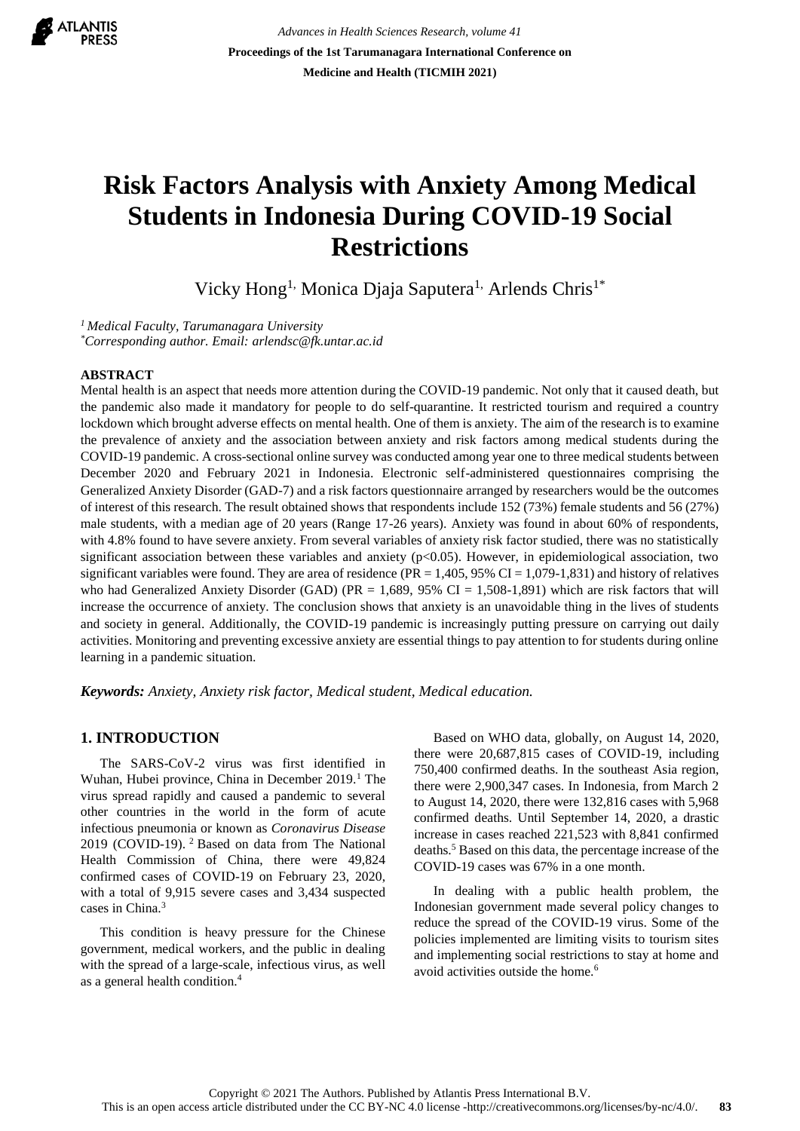

*Advances in Health Sciences Research, volume 41* **Proceedings of the 1st Tarumanagara International Conference on Medicine and Health (TICMIH 2021)**

# **Risk Factors Analysis with Anxiety Among Medical Students in Indonesia During COVID-19 Social Restrictions**

Vicky Hong<sup>1,</sup> Monica Diaja Saputera<sup>1,</sup> Arlends Chris<sup>1\*</sup>

*<sup>1</sup>Medical Faculty, Tarumanagara University \*Corresponding author. Email: arlendsc@fk.untar.ac.id*

## **ABSTRACT**

Mental health is an aspect that needs more attention during the COVID-19 pandemic. Not only that it caused death, but the pandemic also made it mandatory for people to do self-quarantine. It restricted tourism and required a country lockdown which brought adverse effects on mental health. One of them is anxiety. The aim of the research is to examine the prevalence of anxiety and the association between anxiety and risk factors among medical students during the COVID-19 pandemic. A cross-sectional online survey was conducted among year one to three medical students between December 2020 and February 2021 in Indonesia. Electronic self-administered questionnaires comprising the Generalized Anxiety Disorder (GAD-7) and a risk factors questionnaire arranged by researchers would be the outcomes of interest of this research. The result obtained shows that respondents include 152 (73%) female students and 56 (27%) male students, with a median age of 20 years (Range 17-26 years). Anxiety was found in about 60% of respondents, with 4.8% found to have severe anxiety. From several variables of anxiety risk factor studied, there was no statistically significant association between these variables and anxiety  $(p<0.05)$ . However, in epidemiological association, two significant variables were found. They are area of residence ( $PR = 1,405, 95\%$  CI = 1,079-1,831) and history of relatives who had Generalized Anxiety Disorder (GAD) (PR = 1,689, 95% CI = 1,508-1,891) which are risk factors that will increase the occurrence of anxiety. The conclusion shows that anxiety is an unavoidable thing in the lives of students and society in general. Additionally, the COVID-19 pandemic is increasingly putting pressure on carrying out daily activities. Monitoring and preventing excessive anxiety are essential things to pay attention to for students during online learning in a pandemic situation.

*Keywords: Anxiety, Anxiety risk factor, Medical student, Medical education.*

## **1. INTRODUCTION**

The SARS-CoV-2 virus was first identified in Wuhan, Hubei province, China in December 2019.<sup>1</sup> The virus spread rapidly and caused a pandemic to several other countries in the world in the form of acute infectious pneumonia or known as *Coronavirus Disease*  2019 (COVID-19). <sup>2</sup>Based on data from The National Health Commission of China, there were 49,824 confirmed cases of COVID-19 on February 23, 2020, with a total of 9,915 severe cases and 3,434 suspected cases in China.<sup>3</sup>

This condition is heavy pressure for the Chinese government, medical workers, and the public in dealing with the spread of a large-scale, infectious virus, as well as a general health condition.<sup>4</sup>

Based on WHO data, globally, on August 14, 2020, there were 20,687,815 cases of COVID-19, including 750,400 confirmed deaths. In the southeast Asia region, there were 2,900,347 cases. In Indonesia, from March 2 to August 14, 2020, there were 132,816 cases with 5,968 confirmed deaths. Until September 14, 2020, a drastic increase in cases reached 221,523 with 8,841 confirmed deaths.<sup>5</sup> Based on this data, the percentage increase of the COVID-19 cases was 67% in a one month.

In dealing with a public health problem, the Indonesian government made several policy changes to reduce the spread of the COVID-19 virus. Some of the policies implemented are limiting visits to tourism sites and implementing social restrictions to stay at home and avoid activities outside the home.<sup>6</sup>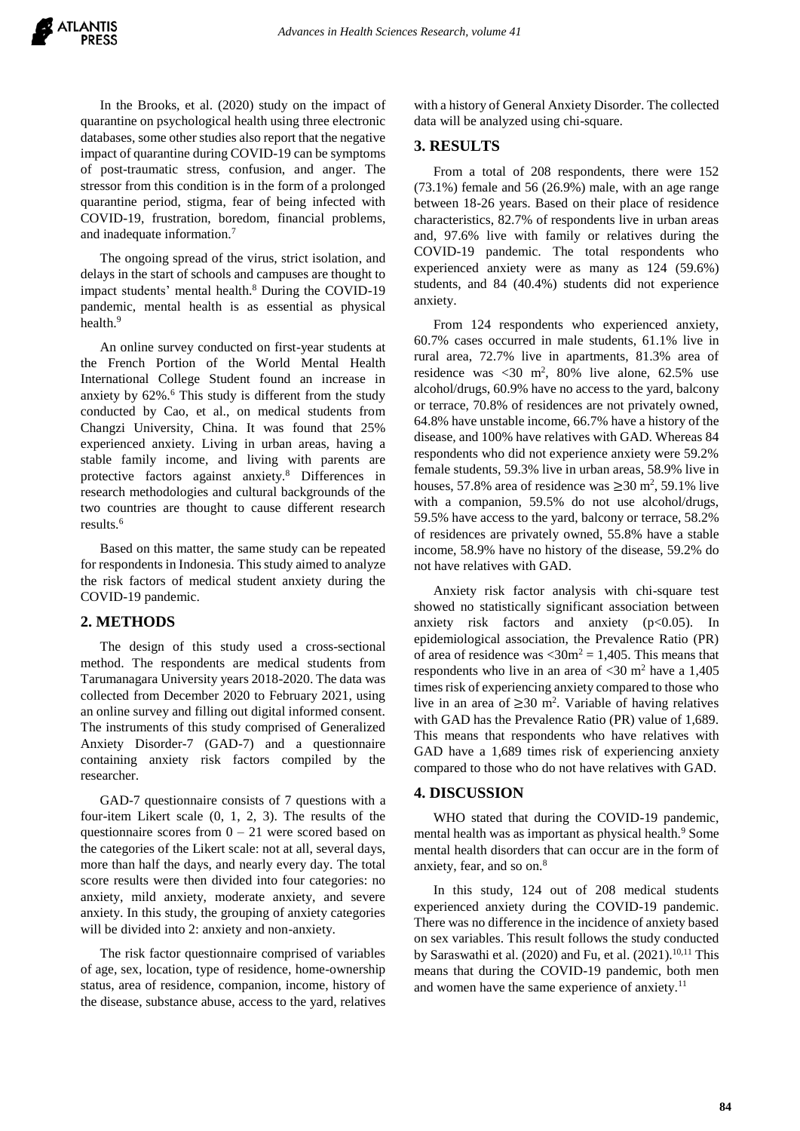In the Brooks, et al. (2020) study on the impact of quarantine on psychological health using three electronic databases, some other studies also report that the negative impact of quarantine during COVID-19 can be symptoms of post-traumatic stress, confusion, and anger. The stressor from this condition is in the form of a prolonged quarantine period, stigma, fear of being infected with COVID-19, frustration, boredom, financial problems, and inadequate information.<sup>7</sup>

The ongoing spread of the virus, strict isolation, and delays in the start of schools and campuses are thought to impact students' mental health.<sup>8</sup> During the COVID-19 pandemic, mental health is as essential as physical health.<sup>9</sup>

An online survey conducted on first-year students at the French Portion of the World Mental Health International College Student found an increase in anxiety by  $62\%$ .<sup>6</sup> This study is different from the study conducted by Cao, et al., on medical students from Changzi University, China. It was found that 25% experienced anxiety. Living in urban areas, having a stable family income, and living with parents are protective factors against anxiety.<sup>8</sup> Differences in research methodologies and cultural backgrounds of the two countries are thought to cause different research results.<sup>6</sup>

Based on this matter, the same study can be repeated for respondents in Indonesia. This study aimed to analyze the risk factors of medical student anxiety during the COVID-19 pandemic.

## **2. METHODS**

The design of this study used a cross-sectional method. The respondents are medical students from Tarumanagara University years 2018-2020. The data was collected from December 2020 to February 2021, using an online survey and filling out digital informed consent. The instruments of this study comprised of Generalized Anxiety Disorder-7 (GAD-7) and a questionnaire containing anxiety risk factors compiled by the researcher.

GAD-7 questionnaire consists of 7 questions with a four-item Likert scale (0, 1, 2, 3). The results of the questionnaire scores from  $0 - 21$  were scored based on the categories of the Likert scale: not at all, several days, more than half the days, and nearly every day. The total score results were then divided into four categories: no anxiety, mild anxiety, moderate anxiety, and severe anxiety. In this study, the grouping of anxiety categories will be divided into 2: anxiety and non-anxiety.

The risk factor questionnaire comprised of variables of age, sex, location, type of residence, home-ownership status, area of residence, companion, income, history of the disease, substance abuse, access to the yard, relatives with a history of General Anxiety Disorder. The collected data will be analyzed using chi-square.

#### **3. RESULTS**

From a total of 208 respondents, there were 152 (73.1%) female and 56 (26.9%) male, with an age range between 18-26 years. Based on their place of residence characteristics, 82.7% of respondents live in urban areas and, 97.6% live with family or relatives during the COVID-19 pandemic. The total respondents who experienced anxiety were as many as 124 (59.6%) students, and 84 (40.4%) students did not experience anxiety.

From 124 respondents who experienced anxiety, 60.7% cases occurred in male students, 61.1% live in rural area, 72.7% live in apartments, 81.3% area of residence was  $\langle 30 \text{ m}^2, 80\% \text{ live alone}, 62.5\% \text{ use}$ alcohol/drugs, 60.9% have no access to the yard, balcony or terrace, 70.8% of residences are not privately owned, 64.8% have unstable income, 66.7% have a history of the disease, and 100% have relatives with GAD. Whereas 84 respondents who did not experience anxiety were 59.2% female students, 59.3% live in urban areas, 58.9% live in houses, 57.8% area of residence was  $\geq$ 30 m<sup>2</sup>, 59.1% live with a companion, 59.5% do not use alcohol/drugs, 59.5% have access to the yard, balcony or terrace, 58.2% of residences are privately owned, 55.8% have a stable income, 58.9% have no history of the disease, 59.2% do not have relatives with GAD.

Anxiety risk factor analysis with chi-square test showed no statistically significant association between anxiety risk factors and anxiety (p<0.05). In epidemiological association, the Prevalence Ratio (PR) of area of residence was  $\langle 30m^2 = 1,405$ . This means that respondents who live in an area of  $\langle 30 \text{ m}^2 \rangle$  have a 1,405 times risk of experiencing anxiety compared to those who live in an area of  $\geq$ 30 m<sup>2</sup>. Variable of having relatives with GAD has the Prevalence Ratio (PR) value of 1,689. This means that respondents who have relatives with GAD have a 1,689 times risk of experiencing anxiety compared to those who do not have relatives with GAD.

## **4. DISCUSSION**

WHO stated that during the COVID-19 pandemic, mental health was as important as physical health.<sup>9</sup> Some mental health disorders that can occur are in the form of anxiety, fear, and so on.<sup>8</sup>

In this study, 124 out of 208 medical students experienced anxiety during the COVID-19 pandemic. There was no difference in the incidence of anxiety based on sex variables. This result follows the study conducted by Saraswathi et al. (2020) and Fu, et al. (2021). 10,11 This means that during the COVID-19 pandemic, both men and women have the same experience of anxiety.<sup>11</sup>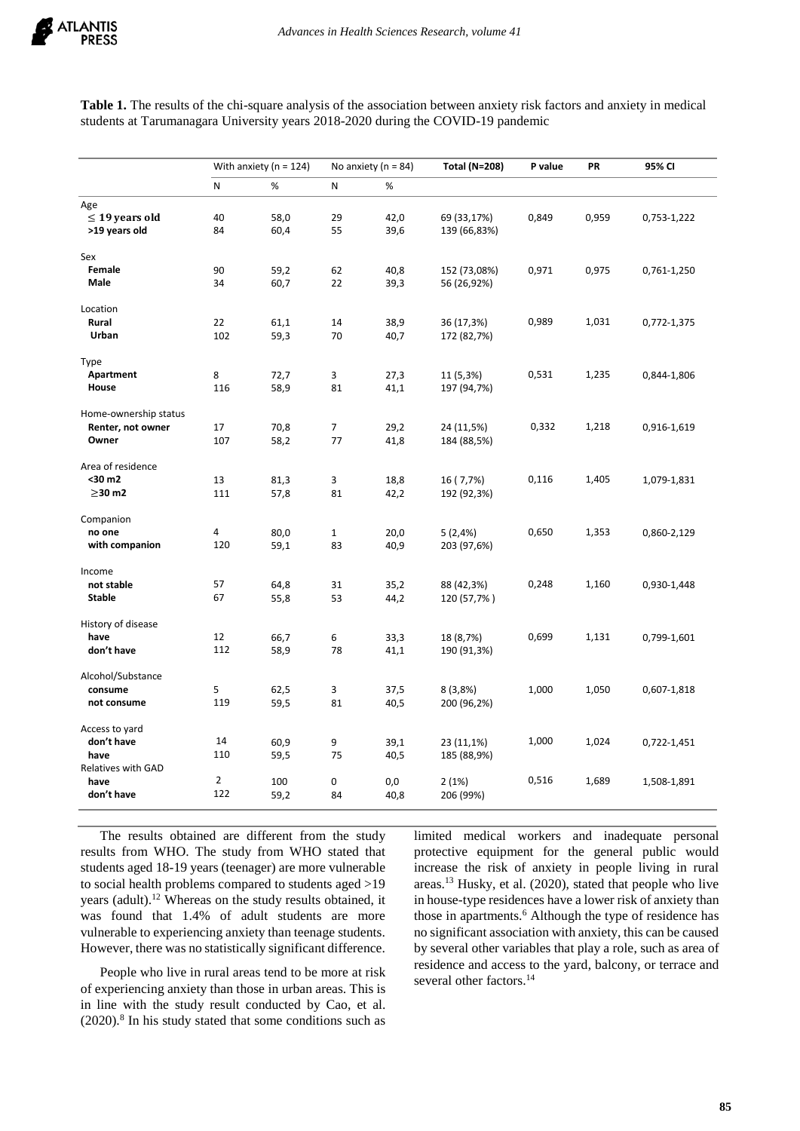**Table 1.** The results of the chi-square analysis of the association between anxiety risk factors and anxiety in medical students at Tarumanagara University years 2018-2020 during the COVID-19 pandemic

|                       | With anxiety ( $n = 124$ ) |      | No anxiety ( $n = 84$ ) |      | <b>Total (N=208)</b> | P value | PR    | 95% CI      |
|-----------------------|----------------------------|------|-------------------------|------|----------------------|---------|-------|-------------|
|                       | N                          | %    | N                       | %    |                      |         |       |             |
| Age                   |                            |      |                         |      |                      |         |       |             |
| $\leq$ 19 years old   | 40                         | 58,0 | 29                      | 42,0 | 69 (33,17%)          | 0,849   | 0,959 | 0,753-1,222 |
| >19 years old         | 84                         | 60,4 | 55                      | 39,6 | 139 (66,83%)         |         |       |             |
| Sex                   |                            |      |                         |      |                      |         |       |             |
| Female                | 90                         | 59,2 | 62                      | 40,8 | 152 (73,08%)         | 0,971   | 0,975 | 0,761-1,250 |
| Male                  | 34                         | 60,7 | 22                      | 39,3 | 56 (26,92%)          |         |       |             |
| Location              |                            |      |                         |      |                      |         |       |             |
| Rural                 | 22                         | 61,1 | 14                      | 38,9 | 36 (17,3%)           | 0,989   | 1,031 | 0,772-1,375 |
| Urban                 | 102                        | 59,3 | 70                      | 40,7 | 172 (82,7%)          |         |       |             |
| Type                  |                            |      |                         |      |                      |         |       |             |
| Apartment             | 8                          | 72,7 | 3                       | 27,3 | 11 (5,3%)            | 0,531   | 1,235 | 0,844-1,806 |
| House                 | 116                        | 58,9 | 81                      | 41,1 | 197 (94,7%)          |         |       |             |
| Home-ownership status |                            |      |                         |      |                      |         |       |             |
| Renter, not owner     | 17                         | 70,8 | $\overline{7}$          | 29,2 | 24 (11,5%)           | 0,332   | 1,218 | 0,916-1,619 |
| Owner                 | 107                        | 58,2 | 77                      | 41,8 | 184 (88,5%)          |         |       |             |
| Area of residence     |                            |      |                         |      |                      |         |       |             |
| <30 m2                | 13                         | 81,3 | 3                       | 18,8 | 16 (7,7%)            | 0,116   | 1,405 | 1,079-1,831 |
| $\geq$ 30 m2          | 111                        | 57,8 | 81                      | 42,2 | 192 (92,3%)          |         |       |             |
| Companion             |                            |      |                         |      |                      |         |       |             |
| no one                | 4                          | 80,0 | $\mathbf{1}$            | 20,0 | 5(2,4%)              | 0,650   | 1,353 | 0,860-2,129 |
| with companion        | 120                        | 59,1 | 83                      | 40,9 | 203 (97,6%)          |         |       |             |
| Income                |                            |      |                         |      |                      |         |       |             |
| not stable            | 57                         | 64,8 | 31                      | 35,2 | 88 (42,3%)           | 0,248   | 1,160 | 0,930-1,448 |
| <b>Stable</b>         | 67                         | 55,8 | 53                      | 44,2 | 120 (57,7%)          |         |       |             |
| History of disease    |                            |      |                         |      |                      |         |       |             |
| have                  | 12                         | 66,7 | 6                       | 33,3 | 18 (8,7%)            | 0,699   | 1,131 | 0,799-1,601 |
| don't have            | 112                        | 58,9 | 78                      | 41,1 | 190 (91,3%)          |         |       |             |
| Alcohol/Substance     |                            |      |                         |      |                      |         |       |             |
| consume               | 5                          | 62,5 | 3                       | 37,5 | 8(3,8%)              | 1,000   | 1,050 | 0,607-1,818 |
| not consume           | 119                        | 59,5 | 81                      | 40,5 | 200 (96,2%)          |         |       |             |
| Access to yard        |                            |      |                         |      |                      |         |       |             |
| don't have            | 14                         | 60,9 | 9                       | 39,1 | 23 (11,1%)           | 1,000   | 1,024 | 0,722-1,451 |
| have                  | 110                        | 59,5 | 75                      | 40,5 | 185 (88,9%)          |         |       |             |
| Relatives with GAD    |                            |      |                         |      |                      |         |       |             |
| have                  | $\overline{2}$             | 100  | 0                       | 0,0  | 2(1%)                | 0,516   | 1,689 | 1,508-1,891 |
| don't have            | 122                        | 59,2 | 84                      | 40,8 | 206 (99%)            |         |       |             |

The results obtained are different from the study results from WHO. The study from WHO stated that students aged 18-19 years (teenager) are more vulnerable to social health problems compared to students aged >19 years (adult).<sup>12</sup> Whereas on the study results obtained, it was found that 1.4% of adult students are more vulnerable to experiencing anxiety than teenage students. However, there was no statistically significant difference.

People who live in rural areas tend to be more at risk of experiencing anxiety than those in urban areas. This is in line with the study result conducted by Cao, et al. (2020).<sup>8</sup> In his study stated that some conditions such as limited medical workers and inadequate personal protective equipment for the general public would increase the risk of anxiety in people living in rural areas.<sup>13</sup> Husky, et al. (2020), stated that people who live in house-type residences have a lower risk of anxiety than those in apartments.<sup>6</sup> Although the type of residence has no significant association with anxiety, this can be caused by several other variables that play a role, such as area of residence and access to the yard, balcony, or terrace and several other factors.<sup>14</sup>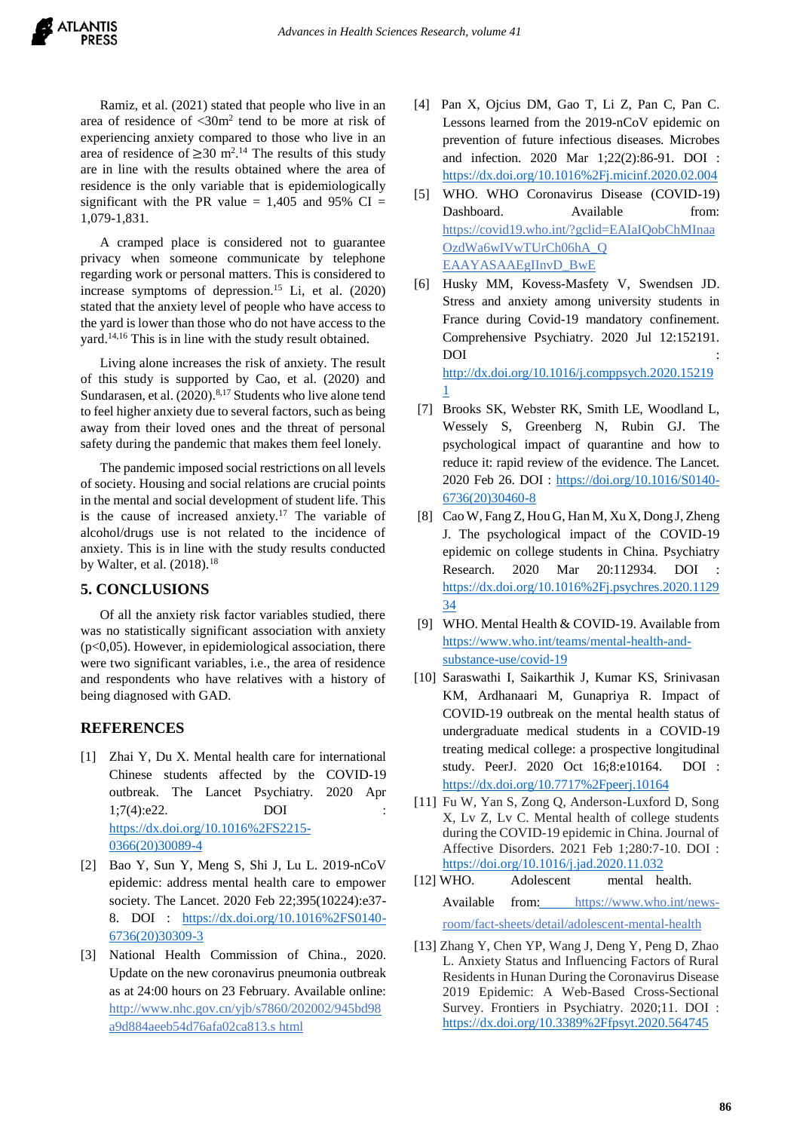Ramiz, et al. (2021) stated that people who live in an area of residence of  $\langle 30 \text{m}^2 \rangle$  tend to be more at risk of experiencing anxiety compared to those who live in an area of residence of  $\geq$  30 m<sup>2</sup>.<sup>14</sup> The results of this study are in line with the results obtained where the area of residence is the only variable that is epidemiologically significant with the PR value =  $1,405$  and 95% CI = 1,079-1,831.

A cramped place is considered not to guarantee privacy when someone communicate by telephone regarding work or personal matters. This is considered to increase symptoms of depression.<sup>15</sup> Li, et al.  $(2020)$ stated that the anxiety level of people who have access to the yard is lower than those who do not have access to the yard.14,16 This is in line with the study result obtained.

Living alone increases the risk of anxiety. The result of this study is supported by Cao, et al. (2020) and Sundarasen, et al.  $(2020)^{8,17}$  Students who live alone tend to feel higher anxiety due to several factors, such as being away from their loved ones and the threat of personal safety during the pandemic that makes them feel lonely.

The pandemic imposed social restrictions on all levels of society. Housing and social relations are crucial points in the mental and social development of student life. This is the cause of increased anxiety.<sup>17</sup> The variable of alcohol/drugs use is not related to the incidence of anxiety. This is in line with the study results conducted by Walter, et al.  $(2018).^{18}$ 

## **5. CONCLUSIONS**

Of all the anxiety risk factor variables studied, there was no statistically significant association with anxiety  $(p<0,05)$ . However, in epidemiological association, there were two significant variables, i.e., the area of residence and respondents who have relatives with a history of being diagnosed with GAD.

# **REFERENCES**

- [1] Zhai Y, Du X. Mental health care for international Chinese students affected by the COVID-19 outbreak. The Lancet Psychiatry. 2020 Apr 1;7(4):e22. DOI : [https://dx.doi.org/10.1016%2FS2215-](https://dx.doi.org/10.1016%2FS2215-0366(20)30089-4) [0366\(20\)30089-4](https://dx.doi.org/10.1016%2FS2215-0366(20)30089-4)
- [2] Bao Y, Sun Y, Meng S, Shi J, Lu L. 2019-nCoV epidemic: address mental health care to empower society. The Lancet. 2020 Feb 22;395(10224):e37- 8. DOI : [https://dx.doi.org/10.1016%2FS0140-](https://dx.doi.org/10.1016%2FS0140-6736(20)30309-3) [6736\(20\)30309-3](https://dx.doi.org/10.1016%2FS0140-6736(20)30309-3)
- [3] National Health Commission of China., 2020. Update on the new coronavirus pneumonia outbreak as at 24:00 hours on 23 February. Available online: [http://www.nhc.gov.cn/yjb/s7860/202002/945bd98](http://www.nhc.gov.cn/yjb/s7860/202002/945bd98a9d884aeeb54d76afa02ca813.shtml) [a9d884aeeb54d76afa02ca813.s](http://www.nhc.gov.cn/yjb/s7860/202002/945bd98a9d884aeeb54d76afa02ca813.shtml) [html](http://www.nhc.gov.cn/yjb/s7860/202002/945bd98a9d884aeeb54d76afa02ca813.shtml)
- [4] Pan X, Ojcius DM, Gao T, Li Z, Pan C, Pan C. Lessons learned from the 2019-nCoV epidemic on prevention of future infectious diseases. Microbes and infection. 2020 Mar 1;22(2):86-91. DOI : <https://dx.doi.org/10.1016%2Fj.micinf.2020.02.004>
- [5] WHO. WHO Coronavirus Disease (COVID-19) Dashboard. Available from: [https://covid19.who.int/?gclid=EAIaIQobChMInaa](https://covid19.who.int/?gclid=EAIaIQobChMInaaOzdWa6wIVwTUrCh06hA_QEAAYASAAEgIInvD_BwE) [OzdWa6wIVwTUrCh06hA\\_Q](https://covid19.who.int/?gclid=EAIaIQobChMInaaOzdWa6wIVwTUrCh06hA_QEAAYASAAEgIInvD_BwE) [EAAYASAAEgIInvD\\_BwE](https://covid19.who.int/?gclid=EAIaIQobChMInaaOzdWa6wIVwTUrCh06hA_QEAAYASAAEgIInvD_BwE)
- [6] Husky MM, Kovess-Masfety V, Swendsen JD. Stress and anxiety among university students in France during Covid-19 mandatory confinement. Comprehensive Psychiatry. 2020 Jul 12:152191. DOI : [http://dx.doi.org/10.1016/j.comppsych.2020.15219](http://dx.doi.org/10.1016/j.comppsych.2020.152191)

[1](http://dx.doi.org/10.1016/j.comppsych.2020.152191)

- [7] Brooks SK, Webster RK, Smith LE, Woodland L, Wessely S, Greenberg N, Rubin GJ. The psychological impact of quarantine and how to reduce it: rapid review of the evidence. The Lancet. 2020 Feb 26. DOI : [https://doi.org/10.1016/S0140-](https://doi.org/10.1016/S0140-6736(20)30460-8) [6736\(20\)30460-8](https://doi.org/10.1016/S0140-6736(20)30460-8)
- [8] Cao W, Fang Z, Hou G, Han M, Xu X, Dong J, Zheng J. The psychological impact of the COVID-19 epidemic on college students in China. Psychiatry Research. 2020 Mar 20:112934. DOI [https://dx.doi.org/10.1016%2Fj.psychres.2020.1129](https://dx.doi.org/10.1016%2Fj.psychres.2020.112934) [34](https://dx.doi.org/10.1016%2Fj.psychres.2020.112934)
- [9] WHO. Mental Health & COVID-19. Available from [https://www.who.int/teams/mental-health-and](https://www.who.int/teams/mental-health-and-substance-use/covid-19)[substance-use/covid-19](https://www.who.int/teams/mental-health-and-substance-use/covid-19)
- [10] Saraswathi I, Saikarthik J, Kumar KS, Srinivasan KM, Ardhanaari M, Gunapriya R. Impact of COVID-19 outbreak on the mental health status of undergraduate medical students in a COVID-19 treating medical college: a prospective longitudinal study. PeerJ. 2020 Oct 16;8:e10164. DOI : <https://dx.doi.org/10.7717%2Fpeerj.10164>
- [11] Fu W, Yan S, Zong O, Anderson-Luxford D, Song X, Lv Z, Lv C. Mental health of college students during the COVID-19 epidemic in China. Journal of Affective Disorders. 2021 Feb 1;280:7-10. DOI : <https://doi.org/10.1016/j.jad.2020.11.032>
- [12] WHO. Adolescent mental health. Available from: [https://www.who.int/news](https://www.who.int/news-room/fact-sheets/detail/adolescent-mental-health)[room/fact-sheets/detail/adolescent-mental-health](https://www.who.int/news-room/fact-sheets/detail/adolescent-mental-health)
- [13] Zhang Y, Chen YP, Wang J, Deng Y, Peng D, Zhao L. Anxiety Status and Influencing Factors of Rural Residents in Hunan During the Coronavirus Disease 2019 Epidemic: A Web-Based Cross-Sectional Survey. Frontiers in Psychiatry. 2020;11. DOI : <https://dx.doi.org/10.3389%2Ffpsyt.2020.564745>